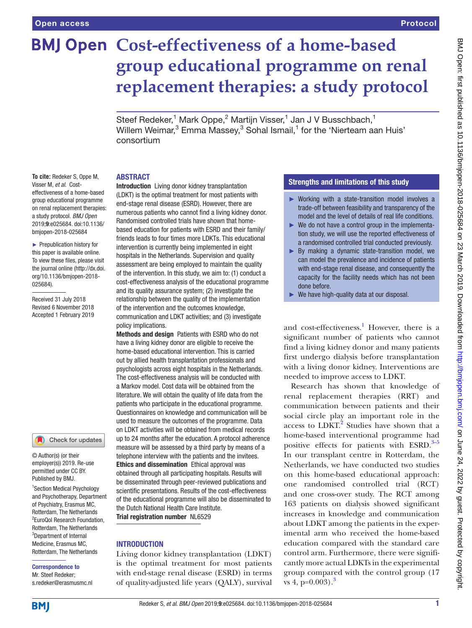# **BMJ Open Cost-effectiveness of a home-based group educational programme on renal replacement therapies: a study protocol**

Steef Redeker,<sup>1</sup> Mark Oppe,<sup>2</sup> Martijn Visser,<sup>1</sup> Jan J V Busschbach,<sup>1</sup> Willem Weimar, $^3$  Emma Massey, $^3$  Sohal Ismail, $^1$  for the 'Nierteam aan Huis' consortium

#### **ABSTRACT**

**To cite:** Redeker S, Oppe M, Visser M, *et al*. Costeffectiveness of a home-based group educational programme on renal replacement therapies: a study protocol. *BMJ Open* 2019;9:e025684. doi:10.1136/ bmjopen-2018-025684

► Prepublication history for this paper is available online. To view these files, please visit the journal online [\(http://dx.doi.](http://dx.doi.org/10.1136/bmjopen-2018-025684) [org/10.1136/bmjopen-2018-](http://dx.doi.org/10.1136/bmjopen-2018-025684) [025684\)](http://dx.doi.org/10.1136/bmjopen-2018-025684).

Received 31 July 2018 Revised 6 November 2018 Accepted 1 February 2019

#### Check for updates

© Author(s) (or their employer(s)) 2019. Re-use permitted under CC BY. Published by BMJ.

1 Section Medical Psychology and Psychotherapy, Department of Psychiatry, Erasmus MC, Rotterdam, The Netherlands 2 EuroQol Research Foundation, Rotterdam, The Netherlands 3 Department of Internal Medicine, Erasmus MC, Rotterdam, The Netherlands

# Correspondence to Mr. Steef Redeker;

s.redeker@erasmusmc.nl

Introduction Living donor kidney transplantation (LDKT) is the optimal treatment for most patients with end-stage renal disease (ESRD). However, there are numerous patients who cannot find a living kidney donor. Randomised controlled trials have shown that homebased education for patients with ESRD and their family/ friends leads to four times more LDKTs. This educational intervention is currently being implemented in eight hospitals in the Netherlands. Supervision and quality assessment are being employed to maintain the quality of the intervention. In this study, we aim to: (1) conduct a cost-effectiveness analysis of the educational programme and its quality assurance system; (2) investigate the relationship between the quality of the implementation of the intervention and the outcomes knowledge, communication and LDKT activities; and (3) investigate policy implications.

Methods and design Patients with ESRD who do not have a living kidney donor are eligible to receive the home-based educational intervention. This is carried out by allied health transplantation professionals and psychologists across eight hospitals in the Netherlands. The cost-effectiveness analysis will be conducted with a Markov model. Cost data will be obtained from the literature. We will obtain the quality of life data from the patients who participate in the educational programme. Questionnaires on knowledge and communication will be used to measure the outcomes of the programme. Data on LDKT activities will be obtained from medical records up to 24 months after the education. A protocol adherence measure will be assessed by a third party by means of a telephone interview with the patients and the invitees. Ethics and dissemination Ethical approval was obtained through all participating hospitals. Results will be disseminated through peer-reviewed publications and scientific presentations. Results of the cost-effectiveness of the educational programme will also be disseminated to the Dutch National Health Care Institute.

# Trial registration number NL6529

# **INTRODUCTION**

Living donor kidney transplantation (LDKT) is the optimal treatment for most patients with end-stage renal disease (ESRD) in terms of quality-adjusted life years (QALY), survival

# Strengths and limitations of this study

- ► Working with a state-transition model involves a trade-off between feasibility and transparency of the model and the level of details of real life conditions.
- ► We do not have a control group in the implementation study, we will use the reported effectiveness of a randomised controlled trial conducted previously.
- ► By making a dynamic state-transition model, we can model the prevalence and incidence of patients with end-stage renal disease, and consequently the capacity for the facility needs which has not been done before.
- ► We have high-quality data at our disposal.

and cost-effectiveness.<sup>1</sup> However, there is a significant number of patients who cannot find a living kidney donor and many patients first undergo dialysis before transplantation with a living donor kidney. Interventions are needed to improve access to LDKT.

Research has shown that knowledge of renal replacement therapies (RRT) and communication between patients and their social circle play an important role in the access to LDKT.<sup>[2](#page-6-1)</sup> Studies have shown that a home-based interventional programme had positive effects for patients with ESRD.<sup>[3–5](#page-6-2)</sup> In our transplant centre in Rotterdam, the Netherlands, we have conducted two studies on this home-based educational approach: one randomised controlled trial (RCT) and one cross-over study. The RCT among 163 patients on dialysis showed significant increases in knowledge and communication about LDKT among the patients in the experimental arm who received the home-based education compared with the standard care control arm. Furthermore, there were significantly more actual LDKTs in the experimental group compared with the control group (17 vs 4,  $p=0.003$  $p=0.003$ ).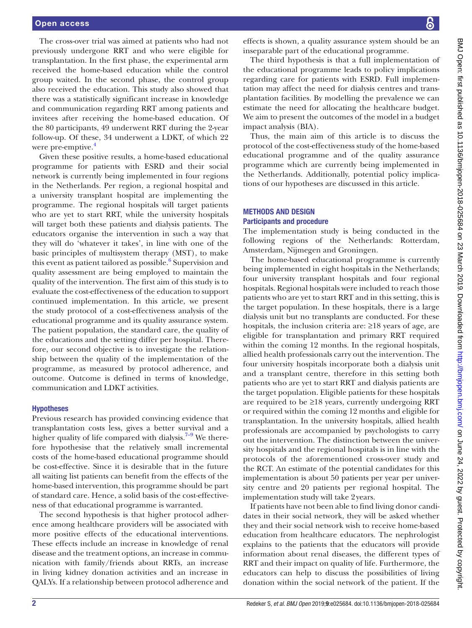The cross-over trial was aimed at patients who had not previously undergone RRT and who were eligible for transplantation. In the first phase, the experimental arm received the home-based education while the control group waited. In the second phase, the control group also received the education. This study also showed that there was a statistically significant increase in knowledge and communication regarding RRT among patients and invitees after receiving the home-based education. Of the 80 participants, 49 underwent RRT during the 2-year follow-up. Of these, 34 underwent a LDKT, of which 22 were pre-emptive.<sup>[4](#page-6-3)</sup>

Given these positive results, a home-based educational programme for patients with ESRD and their social network is currently being implemented in four regions in the Netherlands. Per region, a regional hospital and a university transplant hospital are implementing the programme. The regional hospitals will target patients who are yet to start RRT, while the university hospitals will target both these patients and dialysis patients. The educators organise the intervention in such a way that they will do 'whatever it takes', in line with one of the basic principles of multisystem therapy (MST), to make this event as patient tailored as possible.<sup>[6](#page-7-0)</sup> Supervision and quality assessment are being employed to maintain the quality of the intervention. The first aim of this study is to evaluate the cost-effectiveness of the education to support continued implementation. In this article, we present the study protocol of a cost-effectiveness analysis of the educational programme and its quality assurance system. The patient population, the standard care, the quality of the educations and the setting differ per hospital. Therefore, our second objective is to investigate the relationship between the quality of the implementation of the programme, as measured by protocol adherence, and outcome. Outcome is defined in terms of knowledge, communication and LDKT activities.

#### Hypotheses

Previous research has provided convincing evidence that transplantation costs less, gives a better survival and a higher quality of life compared with dialysis.<sup>7–9</sup> We therefore hypothesise that the relatively small incremental costs of the home-based educational programme should be cost-effective. Since it is desirable that in the future all waiting list patients can benefit from the effects of the home-based intervention, this programme should be part of standard care. Hence, a solid basis of the cost-effectiveness of that educational programme is warranted.

The second hypothesis is that higher protocol adherence among healthcare providers will be associated with more positive effects of the educational interventions. These effects include an increase in knowledge of renal disease and the treatment options, an increase in communication with family/friends about RRTs, an increase in living kidney donation activities and an increase in QALYs. If a relationship between protocol adherence and

effects is shown, a quality assurance system should be an inseparable part of the educational programme.

The third hypothesis is that a full implementation of the educational programme leads to policy implications regarding care for patients with ESRD. Full implementation may affect the need for dialysis centres and transplantation facilities. By modelling the prevalence we can estimate the need for allocating the healthcare budget. We aim to present the outcomes of the model in a budget impact analysis (BIA).

Thus, the main aim of this article is to discuss the protocol of the cost-effectiveness study of the home-based educational programme and of the quality assurance programme which are currently being implemented in the Netherlands. Additionally, potential policy implications of our hypotheses are discussed in this article.

#### Methods and design Participants and procedure

# The implementation study is being conducted in the following regions of the Netherlands: Rotterdam, Amsterdam, Nijmegen and Groningen.

The home-based educational programme is currently being implemented in eight hospitals in the Netherlands; four university transplant hospitals and four regional hospitals. Regional hospitals were included to reach those patients who are yet to start RRT and in this setting, this is the target population. In these hospitals, there is a large dialysis unit but no transplants are conducted. For these hospitals, the inclusion criteria are: ≥18 years of age, are eligible for transplantation and primary RRT required within the coming 12 months. In the regional hospitals, allied health professionals carry out the intervention. The four university hospitals incorporate both a dialysis unit and a transplant centre, therefore in this setting both patients who are yet to start RRT and dialysis patients are the target population. Eligible patients for these hospitals are required to be  $\geq 18$  years, currently undergoing RRT or required within the coming 12 months and eligible for transplantation. In the university hospitals, allied health professionals are accompanied by psychologists to carry out the intervention. The distinction between the university hospitals and the regional hospitals is in line with the protocols of the aforementioned cross-over study and the RCT. An estimate of the potential candidates for this implementation is about 50 patients per year per university centre and 20 patients per regional hospital. The implementation study will take 2years.

If patients have not been able to find living donor candidates in their social network, they will be asked whether they and their social network wish to receive home-based education from healthcare educators. The nephrologist explains to the patients that the educators will provide information about renal diseases, the different types of RRT and their impact on quality of life. Furthermore, the educators can help to discuss the possibilities of living donation within the social network of the patient. If the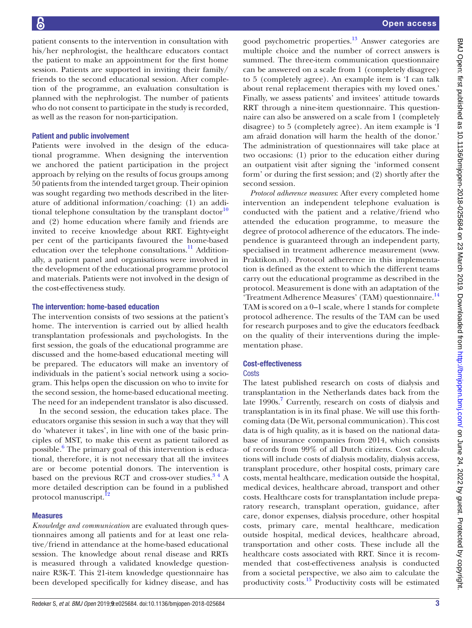patient consents to the intervention in consultation with his/her nephrologist, the healthcare educators contact the patient to make an appointment for the first home session. Patients are supported in inviting their family/ friends to the second educational session. After completion of the programme, an evaluation consultation is planned with the nephrologist. The number of patients who do not consent to participate in the study is recorded, as well as the reason for non-participation.

#### Patient and public involvement

Patients were involved in the design of the educational programme. When designing the intervention we anchored the patient participation in the project approach by relying on the results of focus groups among 50 patients from the intended target group. Their opinion was sought regarding two methods described in the literature of additional information/coaching: (1) an additional telephone consultation by the transplant doctor $10$ and (2) home education where family and friends are invited to receive knowledge about RRT. Eighty-eight per cent of the participants favoured the home-based education over the telephone consultations.<sup>11</sup> Additionally, a patient panel and organisations were involved in the development of the educational programme protocol and materials. Patients were not involved in the design of the cost-effectiveness study.

## The intervention: home-based education

The intervention consists of two sessions at the patient's home. The intervention is carried out by allied health transplantation professionals and psychologists. In the first session, the goals of the educational programme are discussed and the home-based educational meeting will be prepared. The educators will make an inventory of individuals in the patient's social network using a sociogram. This helps open the discussion on who to invite for the second session, the home-based educational meeting. The need for an independent translator is also discussed.

In the second session, the education takes place. The educators organise this session in such a way that they will do 'whatever it takes', in line with one of the basic principles of MST, to make this event as patient tailored as possible.<sup>[6](#page-7-0)</sup> The primary goal of this intervention is educational, therefore, it is not necessary that all the invitees are or become potential donors. The intervention is based on the previous RCT and cross-over studies. $3<sup>4</sup>$  A more detailed description can be found in a published protocol manuscript.<sup>12</sup>

# Measures

*Knowledge and communication* are evaluated through questionnaires among all patients and for at least one relative/friend in attendance at the home-based educational session. The knowledge about renal disease and RRTs is measured through a validated knowledge questionnaire R3K-T. This 21-item knowledge questionnaire has been developed specifically for kidney disease, and has

good psychometric properties[.13](#page-7-5) Answer categories are multiple choice and the number of correct answers is summed. The three-item communication questionnaire can be answered on a scale from 1 (completely disagree) to 5 (completely agree). An example item is 'I can talk about renal replacement therapies with my loved ones.' Finally, we assess patients' and invitees' attitude towards RRT through a nine-item questionnaire. This questionnaire can also be answered on a scale from 1 (completely disagree) to 5 (completely agree). An item example is 'I am afraid donation will harm the health of the donor.' The administration of questionnaires will take place at two occasions: (1) prior to the education either during an outpatient visit after signing the 'informed consent form' or during the first session; and (2) shortly after the second session.

*Protocol adherence measures*: After every completed home intervention an independent telephone evaluation is conducted with the patient and a relative/friend who attended the education programme, to measure the degree of protocol adherence of the educators. The independence is guaranteed through an independent party, specialised in treatment adherence measurement ([www.](www.Praktikon.nl) [Praktikon.nl\)](www.Praktikon.nl). Protocol adherence in this implementation is defined as the extent to which the different teams carry out the educational programme as described in the protocol. Measurement is done with an adaptation of the 'Treatment Adherence Measures' (TAM) questionnaire.<sup>[14](#page-7-6)</sup> TAM is scored on a 0–1 scale, where 1 stands for complete protocol adherence. The results of the TAM can be used for research purposes and to give the educators feedback on the quality of their interventions during the implementation phase.

# Cost-effectiveness

# **Costs**

The latest published research on costs of dialysis and transplantation in the Netherlands dates back from the late 1990s.<sup>[7](#page-7-1)</sup> Currently, research on costs of dialysis and transplantation is in its final phase. We will use this forthcoming data (De Wit, personal communication). This cost data is of high quality, as it is based on the national database of insurance companies from 2014, which consists of records from 99% of all Dutch citizens. Cost calculations will include costs of dialysis modality, dialysis access, transplant procedure, other hospital costs, primary care costs, mental healthcare, medication outside the hospital, medical devices, healthcare abroad, transport and other costs. Healthcare costs for transplantation include preparatory research, transplant operation, guidance, after care, donor expenses, dialysis procedure, other hospital costs, primary care, mental healthcare, medication outside hospital, medical devices, healthcare abroad, transportation and other costs. These include all the healthcare costs associated with RRT. Since it is recommended that cost-effectiveness analysis is conducted from a societal perspective, we also aim to calculate the productivity costs[.15](#page-7-7) Productivity costs will be estimated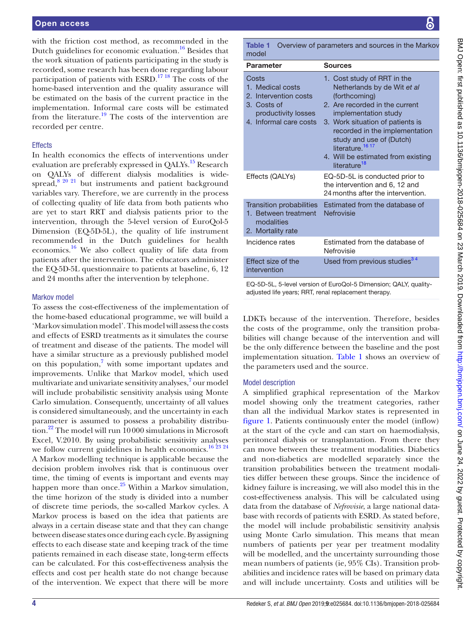with the friction cost method, as recommended in the Dutch guidelines for economic evaluation.<sup>[16](#page-7-8)</sup> Besides that the work situation of patients participating in the study is recorded, some research has been done regarding labour participation of patients with ESRD.[17 18](#page-7-9) The costs of the home-based intervention and the quality assurance will be estimated on the basis of the current practice in the implementation. Informal care costs will be estimated from the literature.<sup>[19](#page-7-10)</sup> The costs of the intervention are recorded per centre.

## **Effects**

In health economics the effects of interventions under evaluation are preferably expressed in QALYs.<sup>[15](#page-7-7)</sup> Research on QALYs of different dialysis modalities is widespread, $8^{20}$   $21$  but instruments and patient background variables vary. Therefore, we are currently in the process of collecting quality of life data from both patients who are yet to start RRT and dialysis patients prior to the intervention, through the 5-level version of EuroQol-5 Dimension (EQ-5D-5L), the quality of life instrument recommended in the Dutch guidelines for health economics[.16](#page-7-8) We also collect quality of life data from patients after the intervention. The educators administer the EQ-5D-5L questionnaire to patients at baseline, 6, 12 and 24 months after the intervention by telephone.

#### Markov model

To assess the cost-effectiveness of the implementation of the home-based educational programme, we will build a 'Markov simulation model'. This model will assess the costs and effects of ESRD treatments as it simulates the course of treatment and disease of the patients. The model will have a similar structure as a previously published model on this population, $7$  with some important updates and improvements. Unlike that Markov model, which used multivariate and univariate sensitivity analyses,<sup>7</sup> our model will include probabilistic sensitivity analysis using Monte Carlo simulation. Consequently, uncertainty of all values is considered simultaneously, and the uncertainty in each parameter is assumed to possess a probability distribution.<sup>22</sup> The model will run 10000 simulations in Microsoft Excel, V.2010. By using probabilistic sensitivity analyses we follow current guidelines in health economics.<sup>[16 23 24](#page-7-8)</sup> A Markov modelling technique is applicable because the decision problem involves risk that is continuous over time, the timing of events is important and events may happen more than once.<sup>[25](#page-7-13)</sup> Within a Markov simulation, the time horizon of the study is divided into a number of discrete time periods, the so-called Markov cycles. A Markov process is based on the idea that patients are always in a certain disease state and that they can change between disease states once during each cycle. By assigning effects to each disease state and keeping track of the time patients remained in each disease state, long-term effects can be calculated. For this cost-effectiveness analysis the effects and cost per health state do not change because of the intervention. We expect that there will be more

<span id="page-3-0"></span>Table 1 Overview of parameters and sources in the Markov model

| TIUUTI                                                                                                             |                                                                                                                                                                                                                                                                                                                                           |
|--------------------------------------------------------------------------------------------------------------------|-------------------------------------------------------------------------------------------------------------------------------------------------------------------------------------------------------------------------------------------------------------------------------------------------------------------------------------------|
| <b>Parameter</b>                                                                                                   | <b>Sources</b>                                                                                                                                                                                                                                                                                                                            |
| Costs<br>1. Medical costs<br>2. Intervention costs<br>3. Costs of<br>productivity losses<br>4. Informal care costs | 1. Cost study of RRT in the<br>Netherlands by de Wit et al<br>(forthcoming)<br>2. Are recorded in the current<br>implementation study<br>3. Work situation of patients is<br>recorded in the implementation<br>study and use of (Dutch)<br>literature. <sup>16 17</sup><br>4. Will be estimated from existing<br>literature <sup>18</sup> |
| Effects (QALYs)                                                                                                    | EQ-5D-5L is conducted prior to<br>the intervention and 6, 12 and<br>24 months after the intervention.                                                                                                                                                                                                                                     |
| <b>Transition probabilities</b><br>1. Between treatment<br>modalities<br>2. Mortality rate                         | Estimated from the database of<br>Nefrovisie                                                                                                                                                                                                                                                                                              |
| Incidence rates                                                                                                    | Estimated from the database of<br>Nefrovisie                                                                                                                                                                                                                                                                                              |
| <b>Effect size of the</b><br>intervention                                                                          | Used from previous studies <sup>34</sup>                                                                                                                                                                                                                                                                                                  |
|                                                                                                                    |                                                                                                                                                                                                                                                                                                                                           |

EQ-5D-5L, 5-level version of EuroQol-5 Dimension; QALY, qualityadjusted life years; RRT, renal replacement therapy.

LDKTs because of the intervention. Therefore, besides the costs of the programme, only the transition probabilities will change because of the intervention and will be the only difference between the baseline and the post implementation situation. [Table](#page-3-0) 1 shows an overview of the parameters used and the source.

#### Model description

A simplified graphical representation of the Markov model showing only the treatment categories, rather than all the individual Markov states is represented in [figure](#page-4-0) 1. Patients continuously enter the model (inflow) at the start of the cycle and can start on haemodialysis, peritoneal dialysis or transplantation. From there they can move between these treatment modalities. Diabetics and non-diabetics are modelled separately since the transition probabilities between the treatment modalities differ between these groups. Since the incidence of kidney failure is increasing, we will also model this in the cost-effectiveness analysis. This will be calculated using data from the database of *Nefrovisie*, a large national database with records of patients with ESRD. As stated before, the model will include probabilistic sensitivity analysis using Monte Carlo simulation. This means that mean numbers of patients per year per treatment modality will be modelled, and the uncertainty surrounding those mean numbers of patients (ie, 95% CIs). Transition probabilities and incidence rates will be based on primary data and will include uncertainty. Costs and utilities will be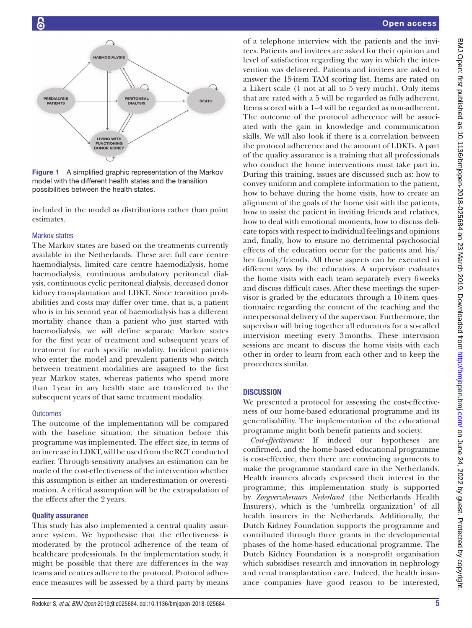

<span id="page-4-0"></span>Figure 1 A simplified graphic representation of the Markov model with the different health states and the transition possibilities between the health states.

included in the model as distributions rather than point estimates.

## Markov states

The Markov states are based on the treatments currently available in the Netherlands. These are: full care centre haemodialysis, limited care centre haemodialysis, home haemodialysis, continuous ambulatory peritoneal dialysis, continuous cyclic peritoneal dialysis, deceased donor kidney transplantation and LDKT. Since transition probabilities and costs may differ over time, that is, a patient who is in his second year of haemodialysis has a different mortality chance than a patient who just started with haemodialysis, we will define separate Markov states for the first year of treatment and subsequent years of treatment for each specific modality. Incident patients who enter the model and prevalent patients who switch between treatment modalities are assigned to the first year Markov states, whereas patients who spend more than 1year in any health state are transferred to the subsequent years of that same treatment modality.

#### **Outcomes**

The outcome of the implementation will be compared with the baseline situation; the situation before this programme was implemented. The effect size, in terms of an increase in LDKT, will be used from the RCT conducted earlier. Through sensitivity analyses an estimation can be made of the cost-effectiveness of the intervention whether this assumption is either an underestimation or overestimation. A critical assumption will be the extrapolation of the effects after the 2 years.

# Quality assurance

This study has also implemented a central quality assurance system. We hypothesise that the effectiveness is moderated by the protocol adherence of the team of healthcare professionals. In the implementation study, it might be possible that there are differences in the way teams and centres adhere to the protocol. Protocol adherence measures will be assessed by a third party by means

of a telephone interview with the patients and the invitees. Patients and invitees are asked for their opinion and level of satisfaction regarding the way in which the intervention was delivered. Patients and invitees are asked to answer the 15-item TAM scoring list. Items are rated on a Likert scale (1 not at all to 5 very much). Only items that are rated with a 5 will be regarded as fully adherent. Items scored with a 1–4 will be regarded as non-adherent. The outcome of the protocol adherence will be associated with the gain in knowledge and communication skills. We will also look if there is a correlation between the protocol adherence and the amount of LDKTs. A part of the quality assurance is a training that all professionals who conduct the home interventions must take part in. During this training, issues are discussed such as: how to convey uniform and complete information to the patient, how to behave during the home visits, how to create an alignment of the goals of the home visit with the patients, how to assist the patient in inviting friends and relatives, how to deal with emotional moments, how to discuss delicate topics with respect to individual feelings and opinions and, finally, how to ensure no detrimental psychosocial effects of the education occur for the patients and his/ her family/friends. All these aspects can be executed in different ways by the educators. A supervisor evaluates the home visits with each team separately every 6weeks and discuss difficult cases. After these meetings the supervisor is graded by the educators through a 10-item questionnaire regarding the content of the teaching and the interpersonal delivery of the supervisor. Furthermore, the supervisor will bring together all educators for a so-called intervision meeting every 3months. These intervision sessions are meant to discuss the home visits with each other in order to learn from each other and to keep the procedures similar.

# **DISCUSSION**

We presented a protocol for assessing the cost-effectiveness of our home-based educational programme and its generalisability. The implementation of the educational programme might both benefit patients and society.

*Cost-effectiveness:* If indeed our hypotheses are confirmed, and the home-based educational programme is cost-effective, then there are convincing arguments to make the programme standard care in the Netherlands. Health insurers already expressed their interest in the programme; this implementation study is supported by *Zorgverzekeraars Nederland* (the Netherlands Health Insurers), which is the 'umbrella organization' of all health insurers in the Netherlands. Additionally, the Dutch Kidney Foundation supports the programme and contributed through three grants in the developmental phases of the home-based educational programme. The Dutch Kidney Foundation is a non-profit organisation which subsidises research and innovation in nephrology and renal transplantation care. Indeed, the health insurance companies have good reason to be interested,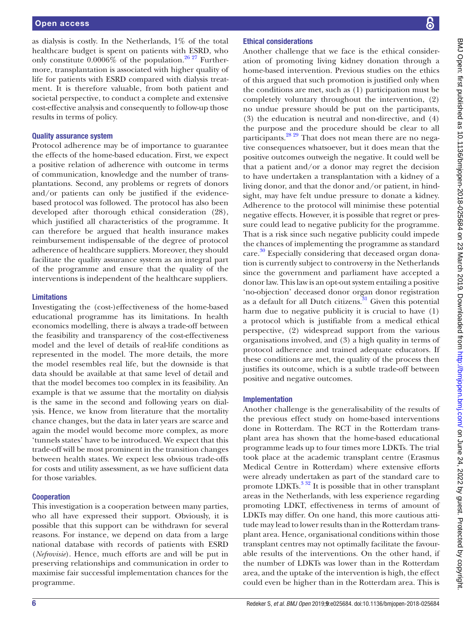as dialysis is costly. In the Netherlands, 1% of the total healthcare budget is spent on patients with ESRD, who only constitute  $0.0006\%$  of the population.<sup>[26 27](#page-7-15)</sup> Furthermore, transplantation is associated with higher quality of life for patients with ESRD compared with dialysis treatment. It is therefore valuable, from both patient and societal perspective, to conduct a complete and extensive cost-effective analysis and consequently to follow-up those results in terms of policy.

#### Quality assurance system

Protocol adherence may be of importance to guarantee the effects of the home-based education. First, we expect a positive relation of adherence with outcome in terms of communication, knowledge and the number of transplantations. Second, any problems or regrets of donors and/or patients can only be justified if the evidencebased protocol was followed. The protocol has also been developed after thorough ethical consideration (28), which justified all characteristics of the programme. It can therefore be argued that health insurance makes reimbursement indispensable of the degree of protocol adherence of healthcare suppliers. Moreover, they should facilitate the quality assurance system as an integral part of the programme and ensure that the quality of the interventions is independent of the healthcare suppliers.

## Limitations

Investigating the (cost-)effectiveness of the home-based educational programme has its limitations. In health economics modelling, there is always a trade-off between the feasibility and transparency of the cost-effectiveness model and the level of details of real-life conditions as represented in the model. The more details, the more the model resembles real life, but the downside is that data should be available at that same level of detail and that the model becomes too complex in its feasibility. An example is that we assume that the mortality on dialysis is the same in the second and following years on dialysis. Hence, we know from literature that the mortality chance changes, but the data in later years are scarce and again the model would become more complex, as more 'tunnels states' have to be introduced. We expect that this trade-off will be most prominent in the transition changes between health states. We expect less obvious trade-offs for costs and utility assessment, as we have sufficient data for those variables.

# **Cooperation**

This investigation is a cooperation between many parties, who all have expressed their support. Obviously, it is possible that this support can be withdrawn for several reasons. For instance, we depend on data from a large national database with records of patients with ESRD (*Nefrovisie*). Hence, much efforts are and will be put in preserving relationships and communication in order to maximise fair successful implementation chances for the programme.

## Ethical considerations

Another challenge that we face is the ethical consideration of promoting living kidney donation through a home-based intervention. Previous studies on the ethics of this argued that such promotion is justified only when the conditions are met, such as (1) participation must be completely voluntary throughout the intervention, (2) no undue pressure should be put on the participants, (3) the education is neutral and non-directive, and (4) the purpose and the procedure should be clear to all participants.<sup>28 29</sup> That does not mean there are no negative consequences whatsoever, but it does mean that the positive outcomes outweigh the negative. It could well be that a patient and/or a donor may regret the decision to have undertaken a transplantation with a kidney of a living donor, and that the donor and/or patient, in hindsight, may have felt undue pressure to donate a kidney. Adherence to the protocol will minimise these potential negative effects. However, it is possible that regret or pressure could lead to negative publicity for the programme. That is a risk since such negative publicity could impede the chances of implementing the programme as standard care.<sup>30</sup> Especially considering that deceased organ donation is currently subject to controversy in the Netherlands since the government and parliament have accepted a donor law. This law is an opt-out system entailing a positive 'no-objection' deceased donor organ donor registration as a default for all Dutch citizens. $31$  Given this potential harm due to negative publicity it is crucial to have (1) a protocol which is justifiable from a medical ethical perspective, (2) widespread support from the various organisations involved, and (3) a high quality in terms of protocol adherence and trained adequate educators. If these conditions are met, the quality of the process then justifies its outcome, which is a subtle trade-off between positive and negative outcomes.

# Implementation

Another challenge is the generalisability of the results of the previous effect study on home-based interventions done in Rotterdam. The RCT in the Rotterdam transplant area has shown that the home-based educational programme leads up to four times more LDKTs. The trial took place at the academic transplant centre (Erasmus Medical Centre in Rotterdam) where extensive efforts were already undertaken as part of the standard care to promote LDKTs. $332$  It is possible that in other transplant areas in the Netherlands, with less experience regarding promoting LDKT, effectiveness in terms of amount of LDKTs may differ. On one hand, this more cautious attitude may lead to lower results than in the Rotterdam transplant area. Hence, organisational conditions within those transplant centres may not optimally facilitate the favourable results of the interventions. On the other hand, if the number of LDKTs was lower than in the Rotterdam area, and the uptake of the intervention is high, the effect could even be higher than in the Rotterdam area. This is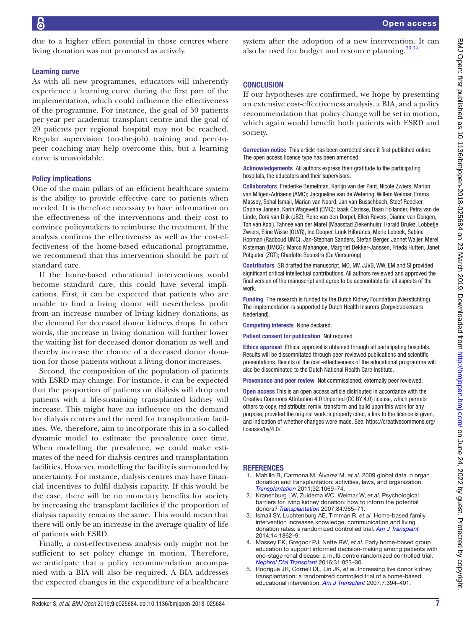due to a higher effect potential in those centres where living donation was not promoted as actively.

#### Learning curve

As with all new programmes, educators will inherently experience a learning curve during the first part of the implementation, which could influence the effectiveness of the programme. For instance, the goal of 50 patients per year per academic transplant centre and the goal of 20 patients per regional hospital may not be reached. Regular supervision (on-the-job) training and peer-topeer coaching may help overcome this, but a learning curve is unavoidable.

#### Policy implications

One of the main pillars of an efficient healthcare system is the ability to provide effective care to patients when needed. It is therefore necessary to have information on the effectiveness of the interventions and their cost to convince policymakers to reimburse the treatment. If the analysis confirms the effectiveness as well as the cost-effectiveness of the home-based educational programme, we recommend that this intervention should be part of standard care.

If the home-based educational interventions would become standard care, this could have several implications. First, it can be expected that patients who are unable to find a living donor will nevertheless profit from an increase number of living kidney donations, as the demand for deceased donor kidneys drops. In other words, the increase in living donation will further lower the waiting list for deceased donor donation as well and thereby increase the chance of a deceased donor donation for those patients without a living donor increases.

Second, the composition of the population of patients with ESRD may change. For instance, it can be expected that the proportion of patients on dialysis will drop and patients with a life-sustaining transplanted kidney will increase. This might have an influence on the demand for dialysis centres and the need for transplantation facilities. We, therefore, aim to incorporate this in a so-called dynamic model to estimate the prevalence over time. When modelling the prevalence, we could make estimates of the need for dialysis centres and transplantation facilities. However, modelling the facility is surrounded by uncertainty. For instance, dialysis centres may have financial incentives to fulfil dialysis capacity. If this would be the case, there will be no monetary benefits for society by increasing the transplant facilities if the proportion of dialysis capacity remains the same. This would mean that there will only be an increase in the average quality of life of patients with ESRD.

Finally, a cost-effectiveness analysis only might not be sufficient to set policy change in motion. Therefore, we anticipate that a policy recommendation accompanied with a BIA will also be required. A BIA addresses the expected changes in the expenditure of a healthcare

system after the adoption of a new intervention. It can also be used for budget and resource planning.<sup>33 34</sup>

#### **CONCLUSION**

If our hypotheses are confirmed, we hope by presenting an extensive cost-effectiveness analysis, a BIA, and a policy recommendation that policy change will be set in motion, which again would benefit both patients with ESRD and society.

Correction notice This article has been corrected since it first published online. The open access licence type has been amended.

Acknowledgements All authors express their gratitude to the participating hospitals, the educators and their supervisors.

Collaborators Frederike Bemelman, Karlijn van der Pant, Nicole Zwiers, Marion van Milgen-Adriaens (AMC); Jacqueline van de Wetering, Willem Weimar, Emma Massey, Sohal Ismail, Marian van Noord, Jan van Busschbach, Steef Redeker, Daphne Jansen, Karin Wageveld (EMC); Izaäk Clarisse, Daan Hollander, Petra van de Linde, Cora van Dijk (JBZ); Rene van den Dorpel, Ellen Rovers, Dianne van Dongen, Ton van Kooij, Tahnee van der Marel (Maasstad Ziekenhuis); Harald Brulez, Lobbetje Zwiers, Eline Wisse (OLVG), Ine Dooper, Luuk Hilbrands, Merle Lobeek, Sabine Hopman (Radboud UMC), Jan-Stephan Sanders, Stefan Berger, Jannet Waijer, Merel Kisteman (UMCG); Marco Mahangoe, Margriet Dekker-Janssen, Frieda Hutten, Janet Potgieter (ZGT); Charlotte Boonstra (De Viersprong)

Contributors SR drafted the manuscript. MO, MV, JJVB, WW, EM and SI provided significant critical intellectual contributions. All authors reviewed and approved the final version of the manuscript and agree to be accountable for all aspects of the work.

Funding The research is funded by the Dutch Kidney Foundation (Nierstichting). The implementation is supported by Dutch Health Insurers (Zorgverzekeraars Nederland).

Competing interests None declared.

Patient consent for publication Not required.

Ethics approval Ethical approval is obtained through all participating hospitals. Results will be dissemnitated through peer-reviewed publications and scientific presentations. Results of the cost-effectiveness of the educational programme will also be disseminated to the Dutch National Health Care Institute.

Provenance and peer review Not commissioned; externally peer reviewed.

Open access This is an open access article distributed in accordance with the Creative Commons Attribution 4.0 Unported (CC BY 4.0) license, which permits others to copy, redistribute, remix, transform and build upon this work for any purpose, provided the original work is properly cited, a link to the licence is given, and indication of whether changes were made. See: [https://creativecommons.org/](https://creativecommons.org/licenses/by/4.0/) [licenses/by/4.0/](https://creativecommons.org/licenses/by/4.0/).

#### **REFERENCES**

- <span id="page-6-0"></span>1. Mahillo B, Carmona M, Álvarez M, *et al*. 2009 global data in organ donation and transplantation: activities, laws, and organization. *[Transplantation](http://dx.doi.org/10.1097/TP.0b013e31823360b1)* 2011;92:1069–74.
- <span id="page-6-1"></span>2. Kranenburg LW, Zuidema WC, Weimar W, *et al*. Psychological barriers for living kidney donation: how to inform the potential donors? *[Transplantation](http://dx.doi.org/10.1097/01.tp.0000284981.83557.dc)* 2007;84:965–71.
- <span id="page-6-2"></span>3. Ismail SY, Luchtenburg AE, Timman R, *et al*. Home-based family intervention increases knowledge, communication and living donation rates: a randomized controlled trial. *[Am J Transplant](http://dx.doi.org/10.1111/ajt.12751)* 2014;14:1862–9.
- <span id="page-6-3"></span>4. Massey EK, Gregoor PJ, Nette RW, *et al*. Early home-based group education to support informed decision-making among patients with end-stage renal disease: a multi-centre randomized controlled trial. *[Nephrol Dial Transplant](http://dx.doi.org/10.1093/ndt/gfv322)* 2016;31:823–30.
- 5. Rodrigue JR, Cornell DL, Lin JK, *et al*. Increasing live donor kidney transplantation: a randomized controlled trial of a home-based educational intervention. *[Am J Transplant](http://dx.doi.org/10.1111/j.1600-6143.2006.01623.x)* 2007;7:394–401.